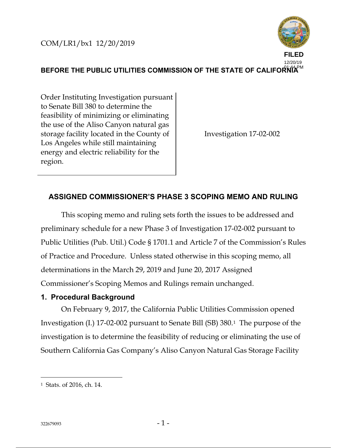

BEFORE THE PUBLIC UTILITIES COMMISSION OF THE STATE OF CALIFORMA<sup>PM</sup>

Order Instituting Investigation pursuant to Senate Bill 380 to determine the feasibility of minimizing or eliminating the use of the Aliso Canyon natural gas storage facility located in the County of Los Angeles while still maintaining energy and electric reliability for the region.

Investigation 17-02-002

### **ASSIGNED COMMISSIONER'S PHASE 3 SCOPING MEMO AND RULING**

This scoping memo and ruling sets forth the issues to be addressed and preliminary schedule for a new Phase 3 of Investigation 17-02-002 pursuant to Public Utilities (Pub. Util.) Code § 1701.1 and Article 7 of the Commission's Rules of Practice and Procedure. Unless stated otherwise in this scoping memo, all determinations in the March 29, 2019 and June 20, 2017 Assigned Commissioner's Scoping Memos and Rulings remain unchanged.

#### **1. Procedural Background**

On February 9, 2017, the California Public Utilities Commission opened Investigation (I.) 17-02-002 pursuant to Senate Bill (SB) 380.1 The purpose of the investigation is to determine the feasibility of reducing or eliminating the use of Southern California Gas Company's Aliso Canyon Natural Gas Storage Facility

 <sup>1</sup> Stats. of 2016, ch. 14.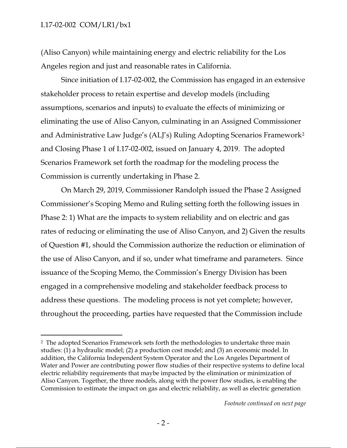#### I.17-02-002 COM/LR1/bx1

(Aliso Canyon) while maintaining energy and electric reliability for the Los Angeles region and just and reasonable rates in California.

Since initiation of I.17-02-002, the Commission has engaged in an extensive stakeholder process to retain expertise and develop models (including assumptions, scenarios and inputs) to evaluate the effects of minimizing or eliminating the use of Aliso Canyon, culminating in an Assigned Commissioner and Administrative Law Judge's (ALJ's) Ruling Adopting Scenarios Framework2 and Closing Phase 1 of I.17-02-002, issued on January 4, 2019. The adopted Scenarios Framework set forth the roadmap for the modeling process the Commission is currently undertaking in Phase 2.

On March 29, 2019, Commissioner Randolph issued the Phase 2 Assigned Commissioner's Scoping Memo and Ruling setting forth the following issues in Phase 2: 1) What are the impacts to system reliability and on electric and gas rates of reducing or eliminating the use of Aliso Canyon, and 2) Given the results of Question #1, should the Commission authorize the reduction or elimination of the use of Aliso Canyon, and if so, under what timeframe and parameters. Since issuance of the Scoping Memo, the Commission's Energy Division has been engaged in a comprehensive modeling and stakeholder feedback process to address these questions. The modeling process is not yet complete; however, throughout the proceeding, parties have requested that the Commission include

 <sup>2</sup> The adopted Scenarios Framework sets forth the methodologies to undertake three main studies: (1) a hydraulic model; (2) a production cost model; and (3) an economic model. In addition, the California Independent System Operator and the Los Angeles Department of Water and Power are contributing power flow studies of their respective systems to define local electric reliability requirements that maybe impacted by the elimination or minimization of Aliso Canyon. Together, the three models, along with the power flow studies, is enabling the Commission to estimate the impact on gas and electric reliability, as well as electric generation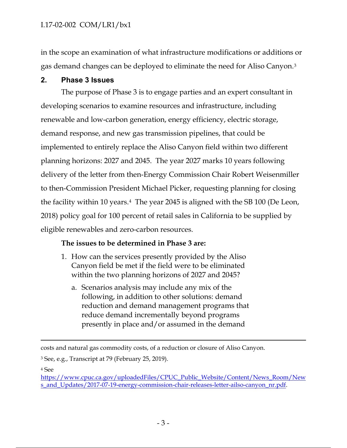### I.17-02-002 COM/LR1/bx1

in the scope an examination of what infrastructure modifications or additions or gas demand changes can be deployed to eliminate the need for Aliso Canyon.3

#### **2. Phase 3 Issues**

The purpose of Phase 3 is to engage parties and an expert consultant in developing scenarios to examine resources and infrastructure, including renewable and low-carbon generation, energy efficiency, electric storage, demand response, and new gas transmission pipelines, that could be implemented to entirely replace the Aliso Canyon field within two different planning horizons: 2027 and 2045. The year 2027 marks 10 years following delivery of the letter from then-Energy Commission Chair Robert Weisenmiller to then-Commission President Michael Picker, requesting planning for closing the facility within 10 years.4 The year 2045 is aligned with the SB 100 (De Leon, 2018) policy goal for 100 percent of retail sales in California to be supplied by eligible renewables and zero-carbon resources.

#### **The issues to be determined in Phase 3 are:**

- 1. How can the services presently provided by the Aliso Canyon field be met if the field were to be eliminated within the two planning horizons of 2027 and 2045?
	- a. Scenarios analysis may include any mix of the following, in addition to other solutions: demand reduction and demand management programs that reduce demand incrementally beyond programs presently in place and/or assumed in the demand

costs and natural gas commodity costs, of a reduction or closure of Aliso Canyon.

<sup>3</sup> See, e.g., Transcript at 79 (February 25, 2019).

<sup>4</sup> See

https://www.cpuc.ca.gov/uploadedFiles/CPUC\_Public\_Website/Content/News\_Room/New s\_and\_Updates/2017-07-19-energy-commission-chair-releases-letter-ailso-canyon\_nr.pdf.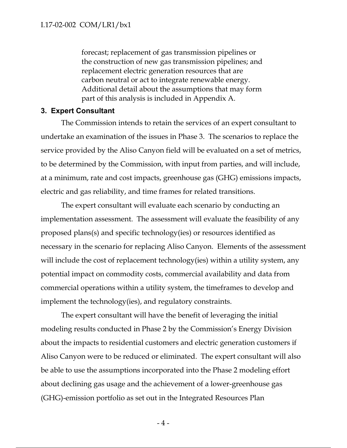forecast; replacement of gas transmission pipelines or the construction of new gas transmission pipelines; and replacement electric generation resources that are carbon neutral or act to integrate renewable energy. Additional detail about the assumptions that may form part of this analysis is included in Appendix A.

#### **3. Expert Consultant**

The Commission intends to retain the services of an expert consultant to undertake an examination of the issues in Phase 3. The scenarios to replace the service provided by the Aliso Canyon field will be evaluated on a set of metrics, to be determined by the Commission, with input from parties, and will include, at a minimum, rate and cost impacts, greenhouse gas (GHG) emissions impacts, electric and gas reliability, and time frames for related transitions.

The expert consultant will evaluate each scenario by conducting an implementation assessment. The assessment will evaluate the feasibility of any proposed plans(s) and specific technology(ies) or resources identified as necessary in the scenario for replacing Aliso Canyon. Elements of the assessment will include the cost of replacement technology(ies) within a utility system, any potential impact on commodity costs, commercial availability and data from commercial operations within a utility system, the timeframes to develop and implement the technology(ies), and regulatory constraints.

The expert consultant will have the benefit of leveraging the initial modeling results conducted in Phase 2 by the Commission's Energy Division about the impacts to residential customers and electric generation customers if Aliso Canyon were to be reduced or eliminated. The expert consultant will also be able to use the assumptions incorporated into the Phase 2 modeling effort about declining gas usage and the achievement of a lower-greenhouse gas (GHG)-emission portfolio as set out in the Integrated Resources Plan

- 4 -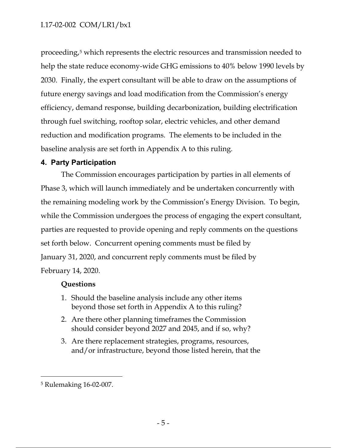### I.17-02-002 COM/LR1/bx1

proceeding,5 which represents the electric resources and transmission needed to help the state reduce economy-wide GHG emissions to 40% below 1990 levels by 2030. Finally, the expert consultant will be able to draw on the assumptions of future energy savings and load modification from the Commission's energy efficiency, demand response, building decarbonization, building electrification through fuel switching, rooftop solar, electric vehicles, and other demand reduction and modification programs. The elements to be included in the baseline analysis are set forth in Appendix A to this ruling.

#### **4. Party Participation**

The Commission encourages participation by parties in all elements of Phase 3, which will launch immediately and be undertaken concurrently with the remaining modeling work by the Commission's Energy Division. To begin, while the Commission undergoes the process of engaging the expert consultant, parties are requested to provide opening and reply comments on the questions set forth below. Concurrent opening comments must be filed by January 31, 2020, and concurrent reply comments must be filed by February 14, 2020.

#### **Questions**

- 1. Should the baseline analysis include any other items beyond those set forth in Appendix A to this ruling?
- 2. Are there other planning timeframes the Commission should consider beyond 2027 and 2045, and if so, why?
- 3. Are there replacement strategies, programs, resources, and/or infrastructure, beyond those listed herein, that the

 <sup>5</sup> Rulemaking 16-02-007.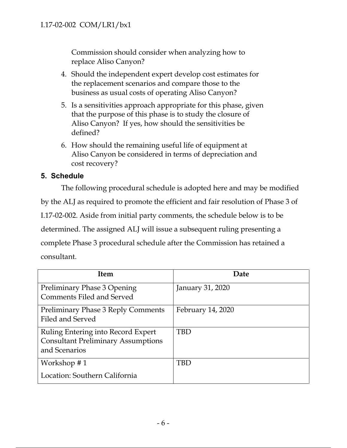Commission should consider when analyzing how to replace Aliso Canyon?

- 4. Should the independent expert develop cost estimates for the replacement scenarios and compare those to the business as usual costs of operating Aliso Canyon?
- 5. Is a sensitivities approach appropriate for this phase, given that the purpose of this phase is to study the closure of Aliso Canyon? If yes, how should the sensitivities be defined?
- 6. How should the remaining useful life of equipment at Aliso Canyon be considered in terms of depreciation and cost recovery?

### **5. Schedule**

The following procedural schedule is adopted here and may be modified by the ALJ as required to promote the efficient and fair resolution of Phase 3 of I.17-02-002. Aside from initial party comments, the schedule below is to be determined. The assigned ALJ will issue a subsequent ruling presenting a complete Phase 3 procedural schedule after the Commission has retained a consultant.

| <b>Item</b>                                                                                      | Date              |
|--------------------------------------------------------------------------------------------------|-------------------|
| Preliminary Phase 3 Opening<br><b>Comments Filed and Served</b>                                  | January 31, 2020  |
| <b>Preliminary Phase 3 Reply Comments</b><br>Filed and Served                                    | February 14, 2020 |
| Ruling Entering into Record Expert<br><b>Consultant Preliminary Assumptions</b><br>and Scenarios | <b>TBD</b>        |
| Workshop #1<br>Location: Southern California                                                     | TBD               |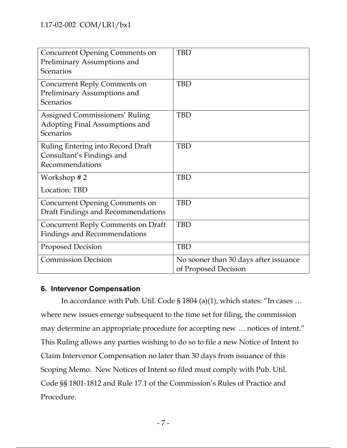| <b>Concurrent Opening Comments on</b><br>Preliminary Assumptions and<br><b>Scenarios</b>    | <b>TBD</b>                                                    |
|---------------------------------------------------------------------------------------------|---------------------------------------------------------------|
| Concurrent Reply Comments on<br>Preliminary Assumptions and<br><b>Scenarios</b>             | <b>TBD</b>                                                    |
| <b>Assigned Commissioners' Ruling</b><br>Adopting Final Assumptions and<br><b>Scenarios</b> | <b>TBD</b>                                                    |
| Ruling Entering into Record Draft<br>Consultant's Findings and<br>Recommendations           | <b>TBD</b>                                                    |
| Workshop #2<br>Location: TBD                                                                | <b>TBD</b>                                                    |
| Concurrent Opening Comments on<br>Draft Findings and Recommendations                        | <b>TBD</b>                                                    |
| <b>Concurrent Reply Comments on Draft</b><br><b>Findings and Recommendations</b>            | <b>TBD</b>                                                    |
| Proposed Decision                                                                           | <b>TBD</b>                                                    |
| <b>Commission Decision</b>                                                                  | No sooner than 30 days after issuance<br>of Proposed Decision |

## **6. Intervenor Compensation**

In accordance with Pub. Util. Code § 1804 (a)(1), which states: "In cases … where new issues emerge subsequent to the time set for filing, the commission may determine an appropriate procedure for accepting new … notices of intent." This Ruling allows any parties wishing to do so to file a new Notice of Intent to Claim Intervenor Compensation no later than 30 days from issuance of this Scoping Memo. New Notices of Intent so filed must comply with Pub. Util. Code §§ 1801-1812 and Rule 17.1 of the Commission's Rules of Practice and Procedure.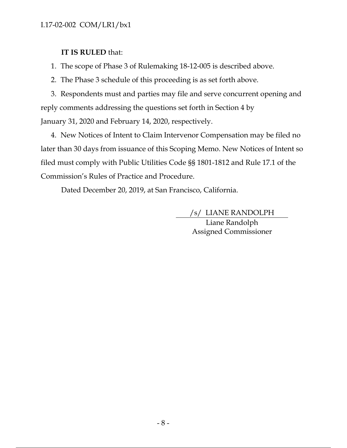### **IT IS RULED** that:

1. The scope of Phase 3 of Rulemaking 18-12-005 is described above.

2. The Phase 3 schedule of this proceeding is as set forth above.

3. Respondents must and parties may file and serve concurrent opening and reply comments addressing the questions set forth in Section 4 by January 31, 2020 and February 14, 2020, respectively.

4. New Notices of Intent to Claim Intervenor Compensation may be filed no later than 30 days from issuance of this Scoping Memo. New Notices of Intent so filed must comply with Public Utilities Code §§ 1801-1812 and Rule 17.1 of the Commission's Rules of Practice and Procedure.

Dated December 20, 2019, at San Francisco, California.

/s/ LIANE RANDOLPH

Liane Randolph Assigned Commissioner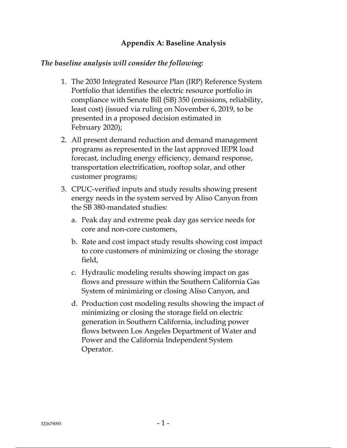### **Appendix A: Baseline Analysis**

#### *The baseline analysis will consider the following:*

- 1. The 2030 Integrated Resource Plan (IRP) Reference System Portfolio that identifies the electric resource portfolio in compliance with Senate Bill (SB) 350 (emissions, reliability, least cost) (issued via ruling on November 6, 2019, to be presented in a proposed decision estimated in February 2020);
- 2. All present demand reduction and demand management programs as represented in the last approved IEPR load forecast, including energy efficiency, demand response, transportation electrification, rooftop solar, and other customer programs;
- 3. CPUC-verified inputs and study results showing present energy needs in the system served by Aliso Canyon from the SB 380-mandated studies:
	- a. Peak day and extreme peak day gas service needs for core and non-core customers,
	- b. Rate and cost impact study results showing cost impact to core customers of minimizing or closing the storage field,
	- c. Hydraulic modeling results showing impact on gas flows and pressure within the Southern California Gas System of minimizing or closing Aliso Canyon, and
	- d. Production cost modeling results showing the impact of minimizing or closing the storage field on electric generation in Southern California, including power flows between Los Angeles Department of Water and Power and the California Independent System Operator.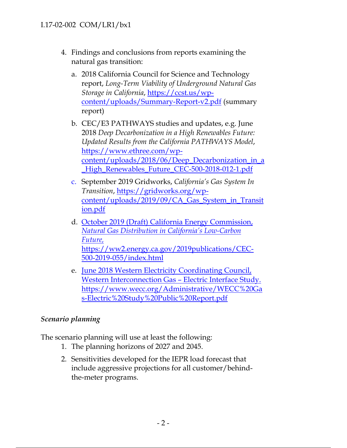- 4. Findings and conclusions from reports examining the natural gas transition:
	- a. 2018 California Council for Science and Technology report, *Long-Term Viability of Underground Natural Gas Storage in California*, https://ccst.us/wpcontent/uploads/Summary-Report-v2.pdf (summary report)
	- b. CEC/E3 PATHWAYS studies and updates, e.g. June 2018 *Deep Decarbonization in a High Renewables Future: Updated Results from the California PATHWAYS Model*, https://www.ethree.com/wpcontent/uploads/2018/06/Deep\_Decarbonization\_in\_a \_High\_Renewables\_Future\_CEC-500-2018-012-1.pdf
	- c. September 2019 Gridworks, *California's Gas System In Transition*, https://gridworks.org/wpcontent/uploads/2019/09/CA\_Gas\_System\_in\_Transit ion.pdf
	- d. October 2019 (Draft) California Energy Commission, *Natural Gas Distribution in California's Low-Carbon Future,*  https://ww2.energy.ca.gov/2019publications/CEC-500-2019-055/index.html
	- e. June 2018 Western Electricity Coordinating Council, Western Interconnection Gas – Electric Interface Study. https://www.wecc.org/Administrative/WECC%20Ga s-Electric%20Study%20Public%20Report.pdf

## *Scenario planning*

The scenario planning will use at least the following:

- 1. The planning horizons of 2027 and 2045.
- 2. Sensitivities developed for the IEPR load forecast that include aggressive projections for all customer/behindthe-meter programs.